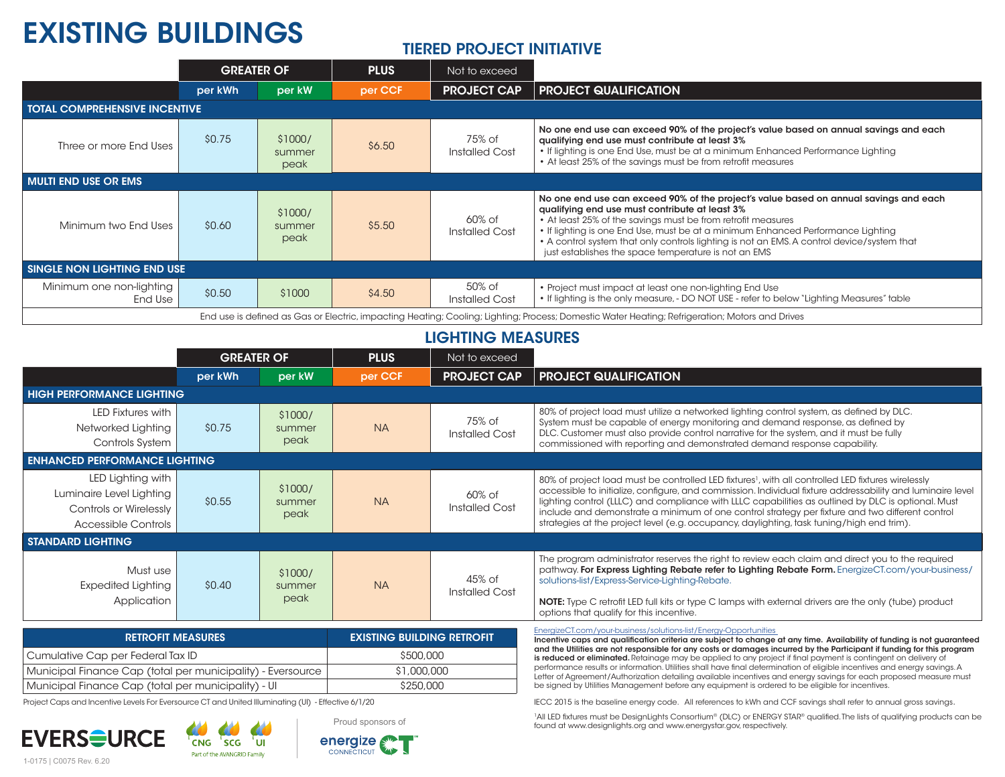# EXISTING BUILDINGS

# TIERED PROJECT INITIATIVE

|                                                                                                                                                | <b>GREATER OF</b> |                           | <b>PLUS</b> | Not to exceed            |                                                                                                                                                                                                                                                                                                                                                                                                                                                   |  |  |  |  |
|------------------------------------------------------------------------------------------------------------------------------------------------|-------------------|---------------------------|-------------|--------------------------|---------------------------------------------------------------------------------------------------------------------------------------------------------------------------------------------------------------------------------------------------------------------------------------------------------------------------------------------------------------------------------------------------------------------------------------------------|--|--|--|--|
|                                                                                                                                                | per kWh           | per kW                    | per CCF     | <b>PROJECT CAP</b>       | <b>PROJECT QUALIFICATION</b>                                                                                                                                                                                                                                                                                                                                                                                                                      |  |  |  |  |
| <b>TOTAL COMPREHENSIVE INCENTIVE</b>                                                                                                           |                   |                           |             |                          |                                                                                                                                                                                                                                                                                                                                                                                                                                                   |  |  |  |  |
| Three or more End Uses                                                                                                                         | \$0.75            | \$1000/<br>summer<br>peak | \$6.50      | 75% of<br>Installed Cost | No one end use can exceed 90% of the project's value based on annual savings and each<br>qualifying end use must contribute at least 3%<br>. If lighting is one End Use, must be at a minimum Enhanced Performance Lighting<br>• At least 25% of the savings must be from retrofit measures                                                                                                                                                       |  |  |  |  |
| <b>MULTI END USE OR EMS</b>                                                                                                                    |                   |                           |             |                          |                                                                                                                                                                                                                                                                                                                                                                                                                                                   |  |  |  |  |
| Minimum two End Uses                                                                                                                           | \$0.60            | \$1000/<br>summer<br>peak | \$5.50      | 60% of<br>Installed Cost | No one end use can exceed 90% of the project's value based on annual savings and each<br>qualifying end use must contribute at least 3%<br>• At least 25% of the savings must be from retrofit measures<br>• If lighting is one End Use, must be at a minimum Enhanced Performance Lighting<br>• A control system that only controls lighting is not an EMS. A control device/system that<br>just establishes the space temperature is not an EMS |  |  |  |  |
| SINGLE NON LIGHTING END USE                                                                                                                    |                   |                           |             |                          |                                                                                                                                                                                                                                                                                                                                                                                                                                                   |  |  |  |  |
| Minimum one non-lighting<br>End Use                                                                                                            | \$0.50            | \$1000                    | \$4.50      | 50% of<br>Installed Cost | . Project must impact at least one non-lighting End Use<br>. If lighting is the only measure, - DO NOT USE - refer to below "Lighting Measures" table                                                                                                                                                                                                                                                                                             |  |  |  |  |
| End use is defined as Gas or Electric, impacting Heating; Cooling; Lighting; Process; Domestic Water Heating; Refrigeration; Motors and Drives |                   |                           |             |                          |                                                                                                                                                                                                                                                                                                                                                                                                                                                   |  |  |  |  |
| <b>LIGHTING MEASURES</b>                                                                                                                       |                   |                           |             |                          |                                                                                                                                                                                                                                                                                                                                                                                                                                                   |  |  |  |  |
|                                                                                                                                                | <b>GREATER OF</b> |                           | <b>PLUS</b> | Not to exceed            |                                                                                                                                                                                                                                                                                                                                                                                                                                                   |  |  |  |  |
|                                                                                                                                                | per kWh           | per kW                    | per CCF     | <b>PROJECT CAP</b>       | <b>PROJECT QUALIFICATION</b>                                                                                                                                                                                                                                                                                                                                                                                                                      |  |  |  |  |

| <b>HIGH PERFORMANCE LIGHTING</b>                                                                             |        |                                   |             |                                                                                                                                                                                            |                                                                                                                                                                                                                                                                                                                                                                                                                                                                                                                                                                                                  |  |  |  |  |
|--------------------------------------------------------------------------------------------------------------|--------|-----------------------------------|-------------|--------------------------------------------------------------------------------------------------------------------------------------------------------------------------------------------|--------------------------------------------------------------------------------------------------------------------------------------------------------------------------------------------------------------------------------------------------------------------------------------------------------------------------------------------------------------------------------------------------------------------------------------------------------------------------------------------------------------------------------------------------------------------------------------------------|--|--|--|--|
| LED Fixtures with<br>Networked Lighting<br>Controls System                                                   | \$0.75 | \$1000/<br>summer<br>peak         | <b>NA</b>   | 75% of<br><b>Installed Cost</b>                                                                                                                                                            | 80% of project load must utilize a networked lighting control system, as defined by DLC.<br>System must be capable of energy monitoring and demand response, as defined by<br>DLC. Customer must also provide control narrative for the system, and it must be fully<br>commissioned with reporting and demonstrated demand response capability.                                                                                                                                                                                                                                                 |  |  |  |  |
| <b>ENHANCED PERFORMANCE LIGHTING</b>                                                                         |        |                                   |             |                                                                                                                                                                                            |                                                                                                                                                                                                                                                                                                                                                                                                                                                                                                                                                                                                  |  |  |  |  |
| LED Lighting with<br>Luminaire Level Lighting<br><b>Controls or Wirelessly</b><br><b>Accessible Controls</b> | \$0.55 | \$1000/<br>summer<br>peak         | <b>NA</b>   | $60\%$ of<br><b>Installed Cost</b>                                                                                                                                                         | 80% of project load must be controlled LED fixtures <sup>1</sup> , with all controlled LED fixtures wirelessly<br>accessible to initialize, configure, and commission. Individual fixture addressability and luminaire level<br>lighting control (LLLC) and compliance with LLLC capabilities as outlined by DLC is optional. Must<br>include and demonstrate a minimum of one control strategy per fixture and two different control<br>strategies at the project level (e.g. occupancy, daylighting, task tuning/high end trim).                                                               |  |  |  |  |
| <b>STANDARD LIGHTING</b>                                                                                     |        |                                   |             |                                                                                                                                                                                            |                                                                                                                                                                                                                                                                                                                                                                                                                                                                                                                                                                                                  |  |  |  |  |
| Must use<br><b>Expedited Lighting</b><br>Application                                                         | \$0.40 | \$1000/<br>summer<br>peak         | <b>NA</b>   | 45% of<br><b>Installed Cost</b>                                                                                                                                                            | The program administrator reserves the right to review each claim and direct you to the required<br>pathway. For Express Lighting Rebate refer to Lighting Rebate Form. EnergizeCT.com/your-business/<br>solutions-list/Express-Service-Lighting-Rebate.<br>NOTE: Type C retrofit LED full kits or type C lamps with external drivers are the only (tube) product<br>options that qualify for this incentive.                                                                                                                                                                                    |  |  |  |  |
| <b>RETROFIT MEASURES</b>                                                                                     |        | <b>EXISTING BUILDING RETROFIT</b> |             | EnergizeCT.com/your-business/solutions-list/Energy-Opportunities<br>Incentive caps and qualification criteria are subject to change at any time. Availability of funding is not quaranteed |                                                                                                                                                                                                                                                                                                                                                                                                                                                                                                                                                                                                  |  |  |  |  |
| Cumulative Cap per Federal Tax ID                                                                            |        |                                   | \$500,000   |                                                                                                                                                                                            | and the Utilities are not responsible for any costs or damages incurred by the Participant if funding for this program<br>is reduced or eliminated. Retainage may be applied to any project if final payment is contingent on delivery of<br>performance results or information. Utilities shall have final determination of eligible incentives and energy savings. A<br>Letter of Agreement/Authorization detailing available incentives and energy savings for each proposed measure must<br>be signed by Utilities Management before any equipment is ordered to be eligible for incentives. |  |  |  |  |
| Municipal Finance Cap (total per municipality) - Eversource                                                  |        |                                   | \$1,000,000 |                                                                                                                                                                                            |                                                                                                                                                                                                                                                                                                                                                                                                                                                                                                                                                                                                  |  |  |  |  |
| Municipal Finance Cap (total per municipality) - UI                                                          |        |                                   | \$250,000   |                                                                                                                                                                                            |                                                                                                                                                                                                                                                                                                                                                                                                                                                                                                                                                                                                  |  |  |  |  |
| Project Caps and Incentive Levels For Eversource CT and United Illuminating (UI) - Effective 6/1/20          |        |                                   |             | IECC 2015 is the baseline energy code. All references to kWh and CCF savings shall refer to annual gross savings.                                                                          |                                                                                                                                                                                                                                                                                                                                                                                                                                                                                                                                                                                                  |  |  |  |  |

Project Caps and Incentive Levels For Eversource CT and United Illuminating (UI) - Effective 6/1/20

**EVERSOURCE** 

1-0175 | C0075 Rev. 6.20

CNG SCG UI Part of the AVANGRID Family



1All LED fixtures must be DesignLights Consortium® (DLC) or ENERGY STAR® qualified. The lists of qualifying products can be found at www.designlights.org and www.energystar.gov, respectively.